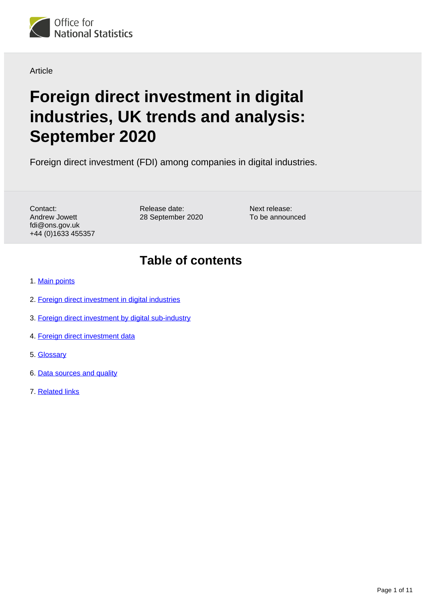

#### Article

# **Foreign direct investment in digital industries, UK trends and analysis: September 2020**

Foreign direct investment (FDI) among companies in digital industries.

Contact: Andrew Jowett fdi@ons.gov.uk +44 (0)1633 455357 Release date: 28 September 2020 Next release: To be announced

## **Table of contents**

- 1. [Main points](#page-1-0)
- 2. [Foreign direct investment in digital industries](#page-1-1)
- 3. [Foreign direct investment by digital sub-industry](#page-2-0)
- 4. [Foreign direct investment data](#page-8-0)
- 5. [Glossary](#page-8-1)
- 6. [Data sources and quality](#page-9-0)
- 7. [Related links](#page-10-0)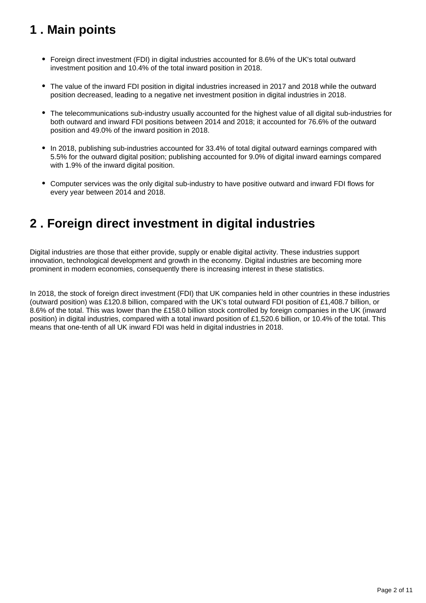## <span id="page-1-0"></span>**1 . Main points**

- Foreign direct investment (FDI) in digital industries accounted for 8.6% of the UK's total outward investment position and 10.4% of the total inward position in 2018.
- The value of the inward FDI position in digital industries increased in 2017 and 2018 while the outward position decreased, leading to a negative net investment position in digital industries in 2018.
- The telecommunications sub-industry usually accounted for the highest value of all digital sub-industries for both outward and inward FDI positions between 2014 and 2018; it accounted for 76.6% of the outward position and 49.0% of the inward position in 2018.
- In 2018, publishing sub-industries accounted for 33.4% of total digital outward earnings compared with 5.5% for the outward digital position; publishing accounted for 9.0% of digital inward earnings compared with 1.9% of the inward digital position.
- Computer services was the only digital sub-industry to have positive outward and inward FDI flows for every year between 2014 and 2018.

## <span id="page-1-1"></span>**2 . Foreign direct investment in digital industries**

Digital industries are those that either provide, supply or enable digital activity. These industries support innovation, technological development and growth in the economy. Digital industries are becoming more prominent in modern economies, consequently there is increasing interest in these statistics.

In 2018, the stock of foreign direct investment (FDI) that UK companies held in other countries in these industries (outward position) was £120.8 billion, compared with the UK's total outward FDI position of £1,408.7 billion, or 8.6% of the total. This was lower than the £158.0 billion stock controlled by foreign companies in the UK (inward position) in digital industries, compared with a total inward position of £1,520.6 billion, or 10.4% of the total. This means that one-tenth of all UK inward FDI was held in digital industries in 2018.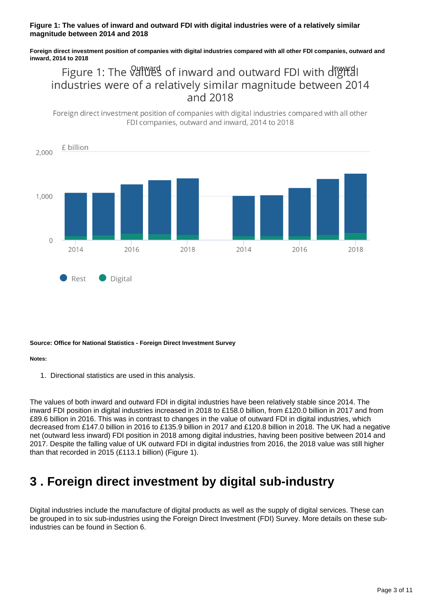#### **Figure 1: The values of inward and outward FDI with digital industries were of a relatively similar magnitude between 2014 and 2018**

**Foreign direct investment position of companies with digital industries compared with all other FDI companies, outward and inward, 2014 to 2018**

Figure 1: The Vall and and outward FDI with dightal industries were of a relatively similar magnitude between 2014 and 2018

Foreign direct investment position of companies with digital industries compared with all other FDI companies, outward and inward, 2014 to 2018



#### **Source: Office for National Statistics - Foreign Direct Investment Survey**

#### **Notes:**

1. Directional statistics are used in this analysis.

The values of both inward and outward FDI in digital industries have been relatively stable since 2014. The inward FDI position in digital industries increased in 2018 to £158.0 billion, from £120.0 billion in 2017 and from £89.6 billion in 2016. This was in contrast to changes in the value of outward FDI in digital industries, which decreased from £147.0 billion in 2016 to £135.9 billion in 2017 and £120.8 billion in 2018. The UK had a negative net (outward less inward) FDI position in 2018 among digital industries, having been positive between 2014 and 2017. Despite the falling value of UK outward FDI in digital industries from 2016, the 2018 value was still higher than that recorded in 2015 (£113.1 billion) (Figure 1).

## <span id="page-2-0"></span>**3 . Foreign direct investment by digital sub-industry**

Digital industries include the manufacture of digital products as well as the supply of digital services. These can be grouped in to six sub-industries using the Foreign Direct Investment (FDI) Survey. More details on these subindustries can be found in Section 6.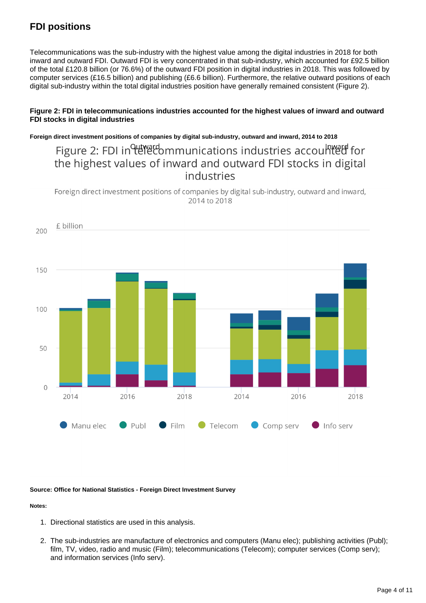### **FDI positions**

Telecommunications was the sub-industry with the highest value among the digital industries in 2018 for both inward and outward FDI. Outward FDI is very concentrated in that sub-industry, which accounted for £92.5 billion of the total £120.8 billion (or 76.6%) of the outward FDI position in digital industries in 2018. This was followed by computer services (£16.5 billion) and publishing (£6.6 billion). Furthermore, the relative outward positions of each digital sub-industry within the total digital industries position have generally remained consistent (Figure 2).

#### **Figure 2: FDI in telecommunications industries accounted for the highest values of inward and outward FDI stocks in digital industries**

**Foreign direct investment positions of companies by digital sub-industry, outward and inward, 2014 to 2018**

Figure 2: FDI in the communications industries accounted for the highest values of inward and outward FDI stocks in digital industries

Foreign direct investment positions of companies by digital sub-industry, outward and inward, 2014 to 2018



**Source: Office for National Statistics - Foreign Direct Investment Survey**

#### **Notes:**

- 1. Directional statistics are used in this analysis.
- 2. The sub-industries are manufacture of electronics and computers (Manu elec); publishing activities (Publ); film, TV, video, radio and music (Film); telecommunications (Telecom); computer services (Comp serv); and information services (Info serv).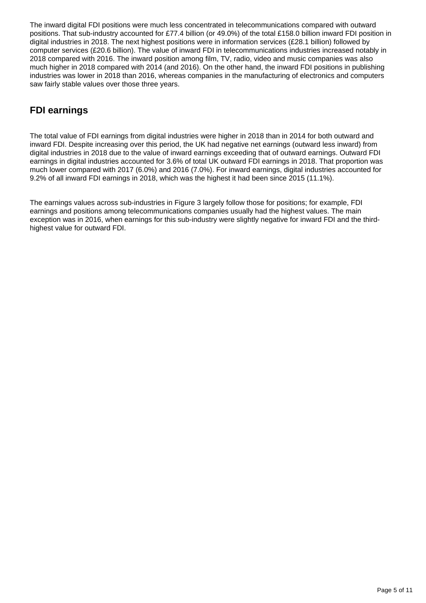The inward digital FDI positions were much less concentrated in telecommunications compared with outward positions. That sub-industry accounted for £77.4 billion (or 49.0%) of the total £158.0 billion inward FDI position in digital industries in 2018. The next highest positions were in information services (£28.1 billion) followed by computer services (£20.6 billion). The value of inward FDI in telecommunications industries increased notably in 2018 compared with 2016. The inward position among film, TV, radio, video and music companies was also much higher in 2018 compared with 2014 (and 2016). On the other hand, the inward FDI positions in publishing industries was lower in 2018 than 2016, whereas companies in the manufacturing of electronics and computers saw fairly stable values over those three years.

### **FDI earnings**

The total value of FDI earnings from digital industries were higher in 2018 than in 2014 for both outward and inward FDI. Despite increasing over this period, the UK had negative net earnings (outward less inward) from digital industries in 2018 due to the value of inward earnings exceeding that of outward earnings. Outward FDI earnings in digital industries accounted for 3.6% of total UK outward FDI earnings in 2018. That proportion was much lower compared with 2017 (6.0%) and 2016 (7.0%). For inward earnings, digital industries accounted for 9.2% of all inward FDI earnings in 2018, which was the highest it had been since 2015 (11.1%).

The earnings values across sub-industries in Figure 3 largely follow those for positions; for example, FDI earnings and positions among telecommunications companies usually had the highest values. The main exception was in 2016, when earnings for this sub-industry were slightly negative for inward FDI and the thirdhighest value for outward FDI.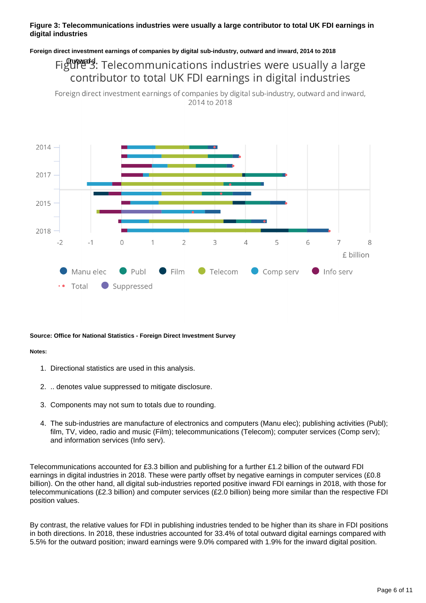#### **Figure 3: Telecommunications industries were usually a large contributor to total UK FDI earnings in digital industries**

#### **Foreign direct investment earnings of companies by digital sub-industry, outward and inward, 2014 to 2018**

## Figures: Telecommunications industries were usually a large contributor to total UK FDI earnings in digital industries

Foreign direct investment earnings of companies by digital sub-industry, outward and inward, 2014 to 2018



#### **Source: Office for National Statistics - Foreign Direct Investment Survey**

#### **Notes:**

- 1. Directional statistics are used in this analysis.
- 2. .. denotes value suppressed to mitigate disclosure.
- 3. Components may not sum to totals due to rounding.
- 4. The sub-industries are manufacture of electronics and computers (Manu elec); publishing activities (Publ); film, TV, video, radio and music (Film); telecommunications (Telecom); computer services (Comp serv); and information services (Info serv).

Telecommunications accounted for £3.3 billion and publishing for a further £1.2 billion of the outward FDI earnings in digital industries in 2018. These were partly offset by negative earnings in computer services (£0.8 billion). On the other hand, all digital sub-industries reported positive inward FDI earnings in 2018, with those for telecommunications (£2.3 billion) and computer services (£2.0 billion) being more similar than the respective FDI position values.

By contrast, the relative values for FDI in publishing industries tended to be higher than its share in FDI positions in both directions. In 2018, these industries accounted for 33.4% of total outward digital earnings compared with 5.5% for the outward position; inward earnings were 9.0% compared with 1.9% for the inward digital position.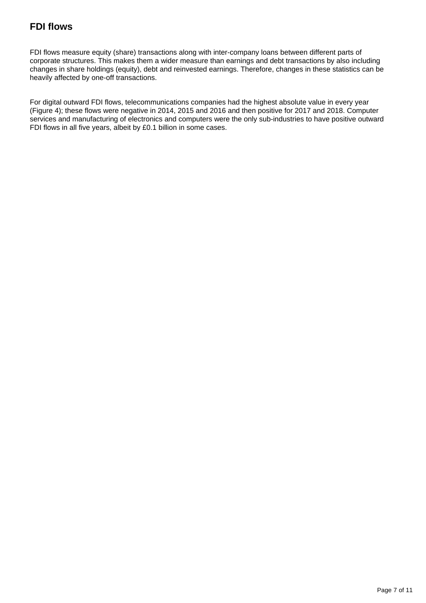### **FDI flows**

FDI flows measure equity (share) transactions along with inter-company loans between different parts of corporate structures. This makes them a wider measure than earnings and debt transactions by also including changes in share holdings (equity), debt and reinvested earnings. Therefore, changes in these statistics can be heavily affected by one-off transactions.

For digital outward FDI flows, telecommunications companies had the highest absolute value in every year (Figure 4); these flows were negative in 2014, 2015 and 2016 and then positive for 2017 and 2018. Computer services and manufacturing of electronics and computers were the only sub-industries to have positive outward FDI flows in all five years, albeit by £0.1 billion in some cases.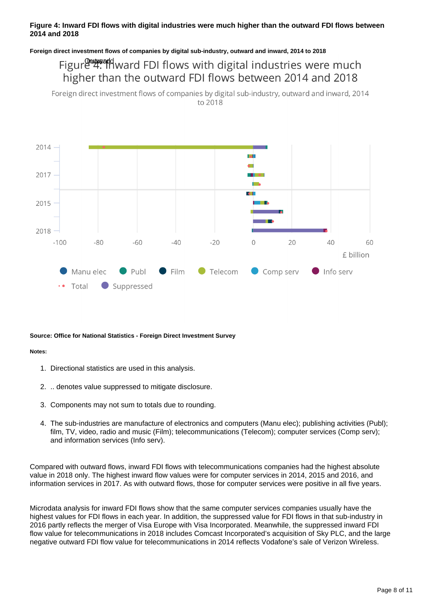#### **Figure 4: Inward FDI flows with digital industries were much higher than the outward FDI flows between 2014 and 2018**

#### **Foreign direct investment flows of companies by digital sub-industry, outward and inward, 2014 to 2018**

## Figure 4: Inward FDI flows with digital industries were much higher than the outward FDI flows between 2014 and 2018

Foreign direct investment flows of companies by digital sub-industry, outward and inward, 2014 to 2018



#### **Source: Office for National Statistics - Foreign Direct Investment Survey**

#### **Notes:**

- 1. Directional statistics are used in this analysis.
- 2. .. denotes value suppressed to mitigate disclosure.
- 3. Components may not sum to totals due to rounding.
- 4. The sub-industries are manufacture of electronics and computers (Manu elec); publishing activities (Publ); film, TV, video, radio and music (Film); telecommunications (Telecom); computer services (Comp serv); and information services (Info serv).

Compared with outward flows, inward FDI flows with telecommunications companies had the highest absolute value in 2018 only. The highest inward flow values were for computer services in 2014, 2015 and 2016, and information services in 2017. As with outward flows, those for computer services were positive in all five years.

Microdata analysis for inward FDI flows show that the same computer services companies usually have the highest values for FDI flows in each year. In addition, the suppressed value for FDI flows in that sub-industry in 2016 partly reflects the merger of Visa Europe with Visa Incorporated. Meanwhile, the suppressed inward FDI flow value for telecommunications in 2018 includes Comcast Incorporated's acquisition of Sky PLC, and the large negative outward FDI flow value for telecommunications in 2014 reflects Vodafone's sale of Verizon Wireless.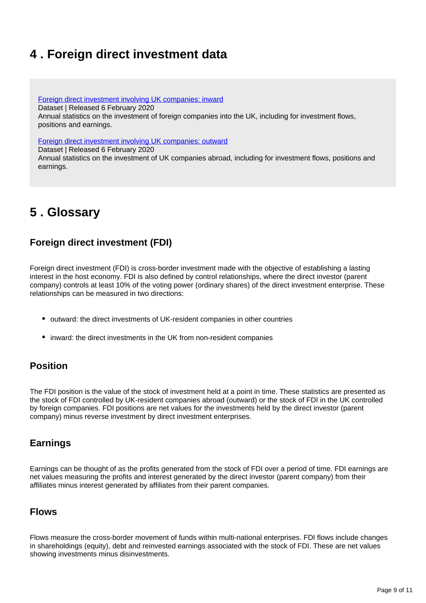## <span id="page-8-0"></span>**4 . Foreign direct investment data**

[Foreign direct investment involving UK companies: inward](https://www.ons.gov.uk/businessindustryandtrade/business/businessinnovation/datasets/foreigndirectinvestmentinvolvingukcompanies2013inwardtables)

Dataset | Released 6 February 2020

Annual statistics on the investment of foreign companies into the UK, including for investment flows, positions and earnings.

[Foreign direct investment involving UK companies: outward](https://www.ons.gov.uk/businessindustryandtrade/business/businessinnovation/datasets/foreigndirectinvestmentinvolvingukcompaniesoutwardtables)

Dataset | Released 6 February 2020

Annual statistics on the investment of UK companies abroad, including for investment flows, positions and earnings.

## <span id="page-8-1"></span>**5 . Glossary**

### **Foreign direct investment (FDI)**

Foreign direct investment (FDI) is cross-border investment made with the objective of establishing a lasting interest in the host economy. FDI is also defined by control relationships, where the direct investor (parent company) controls at least 10% of the voting power (ordinary shares) of the direct investment enterprise. These relationships can be measured in two directions:

- outward: the direct investments of UK-resident companies in other countries
- inward: the direct investments in the UK from non-resident companies

### **Position**

The FDI position is the value of the stock of investment held at a point in time. These statistics are presented as the stock of FDI controlled by UK-resident companies abroad (outward) or the stock of FDI in the UK controlled by foreign companies. FDI positions are net values for the investments held by the direct investor (parent company) minus reverse investment by direct investment enterprises.

### **Earnings**

Earnings can be thought of as the profits generated from the stock of FDI over a period of time. FDI earnings are net values measuring the profits and interest generated by the direct investor (parent company) from their affiliates minus interest generated by affiliates from their parent companies.

### **Flows**

Flows measure the cross-border movement of funds within multi-national enterprises. FDI flows include changes in shareholdings (equity), debt and reinvested earnings associated with the stock of FDI. These are net values showing investments minus disinvestments.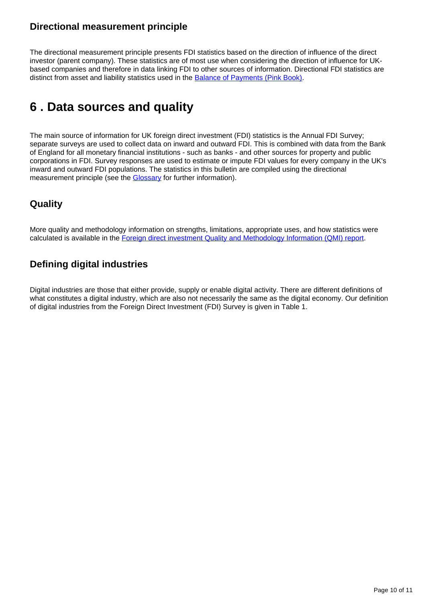### **Directional measurement principle**

The directional measurement principle presents FDI statistics based on the direction of influence of the direct investor (parent company). These statistics are of most use when considering the direction of influence for UKbased companies and therefore in data linking FDI to other sources of information. Directional FDI statistics are distinct from asset and liability statistics used in the [Balance of Payments \(Pink Book\)](https://www.ons.gov.uk/economy/nationalaccounts/balanceofpayments/bulletins/unitedkingdombalanceofpaymentsthepinkbook/2019).

## <span id="page-9-0"></span>**6 . Data sources and quality**

The main source of information for UK foreign direct investment (FDI) statistics is the Annual FDI Survey; separate surveys are used to collect data on inward and outward FDI. This is combined with data from the Bank of England for all monetary financial institutions - such as banks - and other sources for property and public corporations in FDI. Survey responses are used to estimate or impute FDI values for every company in the UK's inward and outward FDI populations. The statistics in this bulletin are compiled using the directional measurement principle (see the **Glossary** for further information).

### **Quality**

More quality and methodology information on strengths, limitations, appropriate uses, and how statistics were calculated is available in the [Foreign direct investment Quality and Methodology Information \(QMI\) report.](https://www.ons.gov.uk/businessindustryandtrade/business/businessinnovation/methodologies/foreigndirectinvestmentfdiqmi)

### **Defining digital industries**

Digital industries are those that either provide, supply or enable digital activity. There are different definitions of what constitutes a digital industry, which are also not necessarily the same as the digital economy. Our definition of digital industries from the Foreign Direct Investment (FDI) Survey is given in Table 1.